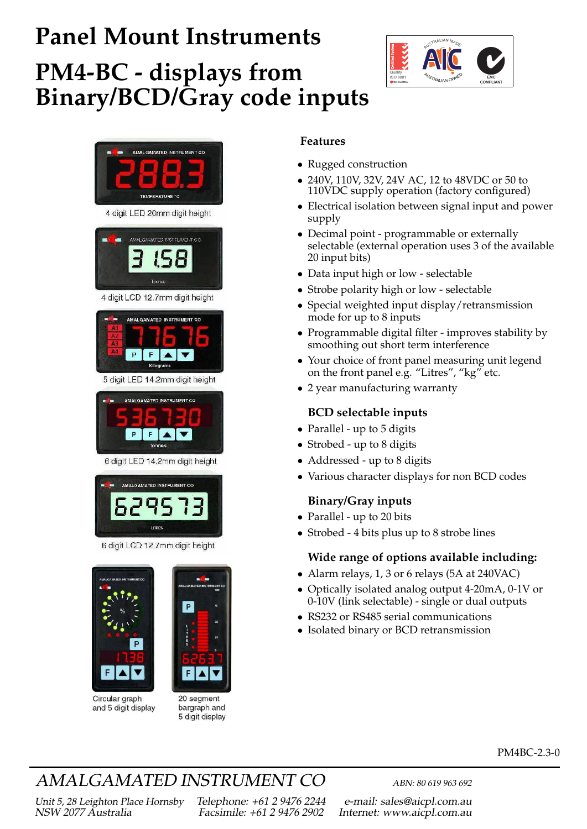# **Panel Mount Instruments**

## **PM4-BC - displays from Binary/BCD/Gray code inputs**





4 digit LED 20mm digit height



#### 4 digit LCD 12.7mm digit height



5 digit LED 14.2mm digit height



6 digit LED 14.2mm digit height



6 digit LCD 12.7mm digit height



Circular graph and 5 digit display

20 seament bargraph and 5 digit display

#### **Features**

- Rugged construction
- 240V, 110V, 32V, 24V AC, 12 to 48VDC or 50 to 110VDC supply operation (factory configured)
- Electrical isolation between signal input and power supply
- Decimal point programmable or externally selectable (external operation uses 3 of the available 20 input bits)
- Data input high or low selectable
- Strobe polarity high or low selectable
- Special weighted input display/retransmission mode for up to 8 inputs
- Programmable digital filter improves stability by smoothing out short term interference
- Your choice of front panel measuring unit legend on the front panel e.g. "Litres", "kg" etc.
- 2 year manufacturing warranty

#### **BCD selectable inputs**

- Parallel up to 5 digits
- Strobed up to 8 digits
- Addressed up to 8 digits
- Various character displays for non BCD codes

#### **Binary/Gray inputs**

- Parallel up to 20 bits
- Strobed 4 bits plus up to 8 strobe lines

#### **Wide range of options available including:**

- Alarm relays, 1, 3 or 6 relays (5A at 240VAC)
- Optically isolated analog output 4-20mA, 0-1V or 0-10V (link selectable) - single or dual outputs
- RS232 or RS485 serial communications
- Isolated binary or BCD retransmission

#### PM4BC-2.3-0

## AMALGAMATED INSTRUMENT CO<br>
ABN: 80 619 963 692

Unit 5, 28 Leighton Place Hornsby Telephone: +61 2 9476 2244 e-mail: sales@aicpl.com.au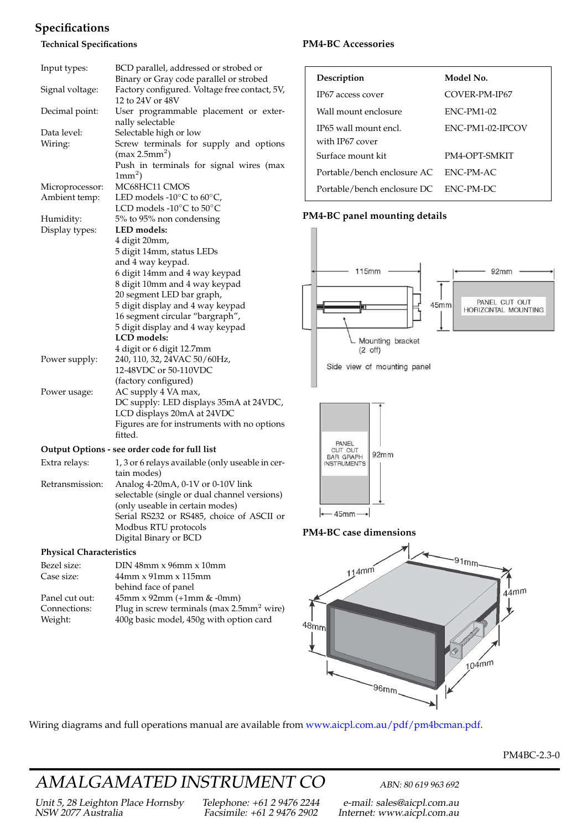#### **Specifications**

#### **Technical Specifications**

| Input types:    | BCD parallel, addressed or strobed or                               |
|-----------------|---------------------------------------------------------------------|
|                 | Binary or Gray code parallel or strobed                             |
| Signal voltage: | Factory configured. Voltage free contact, 5V,<br>12 to 24V or 48V   |
| Decimal point:  | User programmable placement or exter-<br>nally selectable           |
| Data level:     | Selectable high or low                                              |
| Wiring:         | Screw terminals for supply and options<br>(max 2.5mm <sup>2</sup> ) |
|                 | Push in terminals for signal wires (max<br>$1mm2$ )                 |
| Microprocessor: | MC68HC11 CMOS                                                       |
| Ambient temp:   | LED models -10 $\rm ^{\circ}C$ to 60 $\rm ^{\circ}C$ ,              |
|                 | LCD models -10°C to 50°C                                            |
| Humidity:       | 5% to 95% non condensing                                            |
| Display types:  | LED models:                                                         |
|                 | 4 digit 20mm,                                                       |
|                 | 5 digit 14mm, status LEDs                                           |
|                 | and 4 way keypad.                                                   |
|                 | 6 digit 14mm and 4 way keypad                                       |
|                 | 8 digit 10mm and 4 way keypad                                       |
|                 | 20 segment LED bar graph,                                           |
|                 | 5 digit display and 4 way keypad                                    |
|                 | 16 segment circular "bargraph",                                     |
|                 | 5 digit display and 4 way keypad                                    |
|                 | LCD models:                                                         |
|                 | 4 digit or 6 digit 12.7mm                                           |
| Power supply:   | 240, 110, 32, 24VAC 50/60Hz,                                        |
|                 | 12-48VDC or 50-110VDC                                               |
|                 | (factory configured)                                                |
| Power usage:    | AC supply 4 VA max,                                                 |
|                 | DC supply: LED displays 35mA at 24VDC,                              |
|                 | LCD displays 20mA at 24VDC                                          |
|                 | Figures are for instruments with no options                         |
|                 | fitted.                                                             |
|                 | Output Options - see order code for full list                       |
| Extra relays:   | 1, 3 or 6 relays available (only useable in cer-                    |
|                 | tain modes)                                                         |
| Retransmission: | Analog 4-20mA, 0-1V or 0-10V link                                   |
|                 | selectable (single or dual channel versions)                        |
|                 | (only useable in certain modes)                                     |

#### **PM4-BC Accessories**

| Description                              | Model No.         |
|------------------------------------------|-------------------|
| IP67 access cover                        | COVER-PM-IP67     |
| Wall mount enclosure                     | <b>ENC-PM1-02</b> |
| IP65 wall mount encl.<br>with IP67 cover | ENC-PM1-02-IPCOV  |
| Surface mount kit                        | PM4-OPT-SMKIT     |
| Portable/bench enclosure AC              | ENC-PM-AC         |
| Portable/bench enclosure DC              | ENC-PM-DC         |

#### **PM4-BC panel mounting details**



#### **PM4-BC case dimensions**

 $\leftarrow$  45mm $\rightarrow$ 



Wiring diagrams and full operations manual are available from [www.aicpl.com.au/pdf/pm4bcman.pdf.](http://www.aicpl.com.au/pdf/pm4bcman.pdf)

#### PM4BC-2.3-0

## AMALGAMATED INSTRUMENT CO<br>
ABN: 80 619 963 692

Serial RS232 or RS485, choice of ASCII or

 $400g$  basic model,  $450g$  with option card

Modbus RTU protocols Digital Binary or BCD

behind face of panel

Connections: Plug in screw terminals (max 2.5mm<sup>2</sup> wire)<br>Weight: 400g basic model, 450g with option card

Bezel size: DIN 48mm x 96mm x 10mm Case size: 44mm x 91mm x 115mm

Panel cut out:  $45 \text{mm} \times 92 \text{mm} (+1 \text{mm} \& -0 \text{mm})$ <br>Connections: Plug in screw terminals (max 2.5

Unit 5, 28 Leighton Place Hornsby Telephone: +61 2 9476 2244 e-mail: sales@aicpl.com.au

**Physical Characteristics**

Internet: www.aicpl.com.au